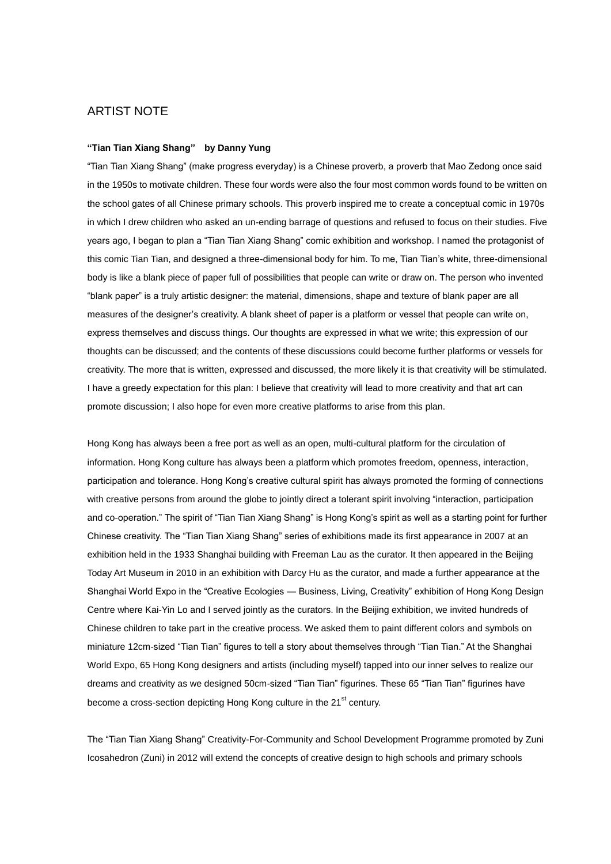# ARTIST NOTE

## **"Tian Tian Xiang Shang" by Danny Yung**

"Tian Tian Xiang Shang" (make progress everyday) is a Chinese proverb, a proverb that Mao Zedong once said in the 1950s to motivate children. These four words were also the four most common words found to be written on the school gates of all Chinese primary schools. This proverb inspired me to create a conceptual comic in 1970s in which I drew children who asked an un-ending barrage of questions and refused to focus on their studies. Five years ago, I began to plan a "Tian Tian Xiang Shang" comic exhibition and workshop. I named the protagonist of this comic Tian Tian, and designed a three-dimensional body for him. To me, Tian Tian's white, three-dimensional body is like a blank piece of paper full of possibilities that people can write or draw on. The person who invented "blank paper" is a truly artistic designer: the material, dimensions, shape and texture of blank paper are all measures of the designer's creativity. A blank sheet of paper is a platform or vessel that people can write on, express themselves and discuss things. Our thoughts are expressed in what we write; this expression of our thoughts can be discussed; and the contents of these discussions could become further platforms or vessels for creativity. The more that is written, expressed and discussed, the more likely it is that creativity will be stimulated. I have a greedy expectation for this plan: I believe that creativity will lead to more creativity and that art can promote discussion; I also hope for even more creative platforms to arise from this plan.

Hong Kong has always been a free port as well as an open, multi-cultural platform for the circulation of information. Hong Kong culture has always been a platform which promotes freedom, openness, interaction, participation and tolerance. Hong Kong's creative cultural spirit has always promoted the forming of connections with creative persons from around the globe to jointly direct a tolerant spirit involving "interaction, participation and co-operation." The spirit of "Tian Tian Xiang Shang" is Hong Kong's spirit as well as a starting point for further Chinese creativity. The "Tian Tian Xiang Shang" series of exhibitions made its first appearance in 2007 at an exhibition held in the 1933 Shanghai building with Freeman Lau as the curator. It then appeared in the Beijing Today Art Museum in 2010 in an exhibition with Darcy Hu as the curator, and made a further appearance at the Shanghai World Expo in the "Creative Ecologies — Business, Living, Creativity" exhibition of Hong Kong Design Centre where Kai-Yin Lo and I served jointly as the curators. In the Beijing exhibition, we invited hundreds of Chinese children to take part in the creative process. We asked them to paint different colors and symbols on miniature 12cm-sized "Tian Tian" figures to tell a story about themselves through "Tian Tian." At the Shanghai World Expo, 65 Hong Kong designers and artists (including myself) tapped into our inner selves to realize our dreams and creativity as we designed 50cm-sized "Tian Tian" figurines. These 65 "Tian Tian" figurines have become a cross-section depicting Hong Kong culture in the 21<sup>st</sup> century.

The "Tian Tian Xiang Shang" Creativity-For-Community and School Development Programme promoted by Zuni Icosahedron (Zuni) in 2012 will extend the concepts of creative design to high schools and primary schools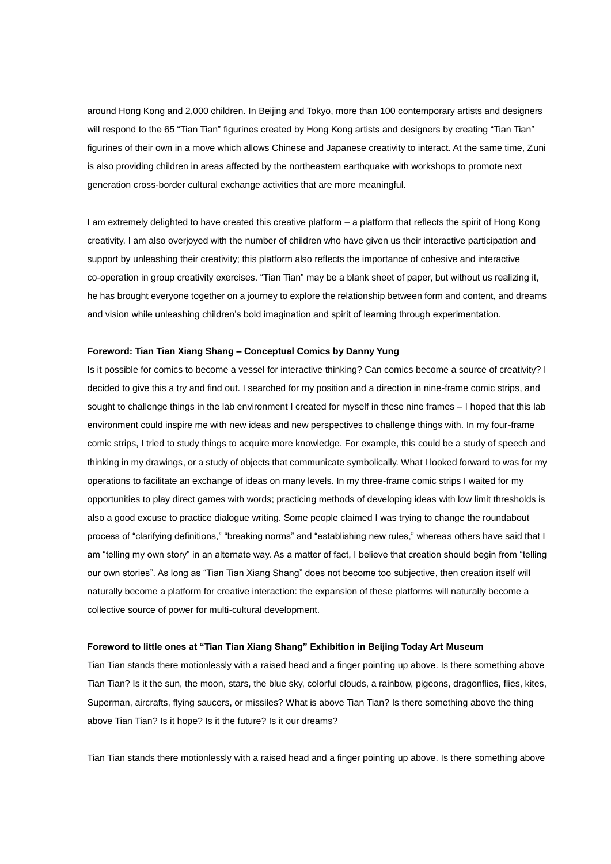around Hong Kong and 2,000 children. In Beijing and Tokyo, more than 100 contemporary artists and designers will respond to the 65 "Tian Tian" figurines created by Hong Kong artists and designers by creating "Tian Tian" figurines of their own in a move which allows Chinese and Japanese creativity to interact. At the same time, Zuni is also providing children in areas affected by the northeastern earthquake with workshops to promote next generation cross-border cultural exchange activities that are more meaningful.

I am extremely delighted to have created this creative platform – a platform that reflects the spirit of Hong Kong creativity. I am also overjoyed with the number of children who have given us their interactive participation and support by unleashing their creativity; this platform also reflects the importance of cohesive and interactive co-operation in group creativity exercises. "Tian Tian" may be a blank sheet of paper, but without us realizing it, he has brought everyone together on a journey to explore the relationship between form and content, and dreams and vision while unleashing children's bold imagination and spirit of learning through experimentation.

## **Foreword: Tian Tian Xiang Shang – Conceptual Comics by Danny Yung**

Is it possible for comics to become a vessel for interactive thinking? Can comics become a source of creativity? I decided to give this a try and find out. I searched for my position and a direction in nine-frame comic strips, and sought to challenge things in the lab environment I created for myself in these nine frames – I hoped that this lab environment could inspire me with new ideas and new perspectives to challenge things with. In my four-frame comic strips, I tried to study things to acquire more knowledge. For example, this could be a study of speech and thinking in my drawings, or a study of objects that communicate symbolically. What I looked forward to was for my operations to facilitate an exchange of ideas on many levels. In my three-frame comic strips I waited for my opportunities to play direct games with words; practicing methods of developing ideas with low limit thresholds is also a good excuse to practice dialogue writing. Some people claimed I was trying to change the roundabout process of "clarifying definitions," "breaking norms" and "establishing new rules," whereas others have said that I am "telling my own story" in an alternate way. As a matter of fact, I believe that creation should begin from "telling our own stories". As long as "Tian Tian Xiang Shang" does not become too subjective, then creation itself will naturally become a platform for creative interaction: the expansion of these platforms will naturally become a collective source of power for multi-cultural development.

### **Foreword to little ones at "Tian Tian Xiang Shang" Exhibition in Beijing Today Art Museum**

Tian Tian stands there motionlessly with a raised head and a finger pointing up above. Is there something above Tian Tian? Is it the sun, the moon, stars, the blue sky, colorful clouds, a rainbow, pigeons, dragonflies, flies, kites, Superman, aircrafts, flying saucers, or missiles? What is above Tian Tian? Is there something above the thing above Tian Tian? Is it hope? Is it the future? Is it our dreams?

Tian Tian stands there motionlessly with a raised head and a finger pointing up above. Is there something above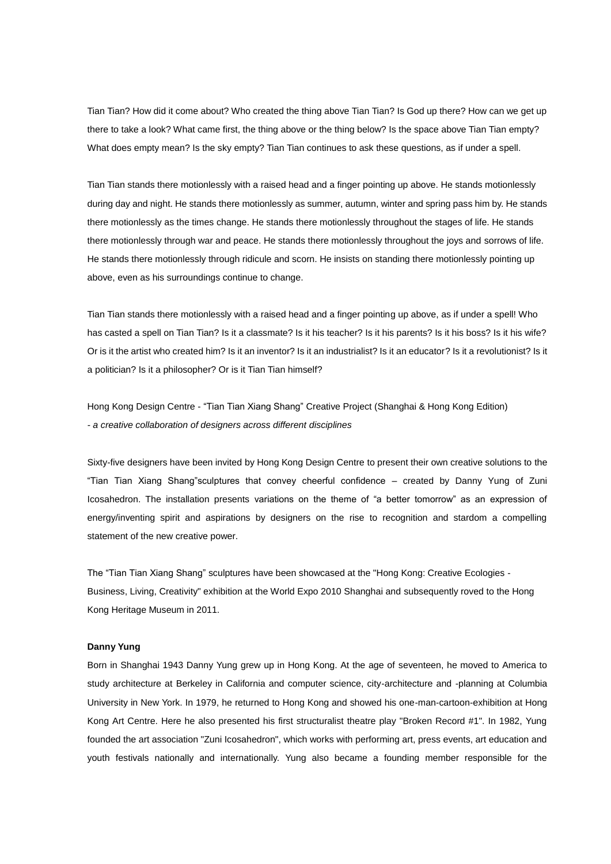Tian Tian? How did it come about? Who created the thing above Tian Tian? Is God up there? How can we get up there to take a look? What came first, the thing above or the thing below? Is the space above Tian Tian empty? What does empty mean? Is the sky empty? Tian Tian continues to ask these questions, as if under a spell.

Tian Tian stands there motionlessly with a raised head and a finger pointing up above. He stands motionlessly during day and night. He stands there motionlessly as summer, autumn, winter and spring pass him by. He stands there motionlessly as the times change. He stands there motionlessly throughout the stages of life. He stands there motionlessly through war and peace. He stands there motionlessly throughout the joys and sorrows of life. He stands there motionlessly through ridicule and scorn. He insists on standing there motionlessly pointing up above, even as his surroundings continue to change.

Tian Tian stands there motionlessly with a raised head and a finger pointing up above, as if under a spell! Who has casted a spell on Tian Tian? Is it a classmate? Is it his teacher? Is it his parents? Is it his boss? Is it his wife? Or is it the artist who created him? Is it an inventor? Is it an industrialist? Is it an educator? Is it a revolutionist? Is it a politician? Is it a philosopher? Or is it Tian Tian himself?

Hong Kong Design Centre - "Tian Tian Xiang Shang" Creative Project (Shanghai & Hong Kong Edition) *- a creative collaboration of designers across different disciplines*

Sixty-five designers have been invited by Hong Kong Design Centre to present their own creative solutions to the "Tian Tian Xiang Shang"sculptures that convey cheerful confidence – created by Danny Yung of Zuni Icosahedron. The installation presents variations on the theme of "a better tomorrow" as an expression of energy/inventing spirit and aspirations by designers on the rise to recognition and stardom a compelling statement of the new creative power.

The "Tian Tian Xiang Shang" sculptures have been showcased at the "Hong Kong: Creative Ecologies - Business, Living, Creativity" exhibition at the World Expo 2010 Shanghai and subsequently roved to the Hong Kong Heritage Museum in 2011.

## **Danny Yung**

Born in Shanghai 1943 Danny Yung grew up in Hong Kong. At the age of seventeen, he moved to America to study architecture at Berkeley in California and computer science, city-architecture and -planning at Columbia University in New York. In 1979, he returned to Hong Kong and showed his one-man-cartoon-exhibition at Hong Kong Art Centre. Here he also presented his first structuralist theatre play "Broken Record #1". In 1982, Yung founded the art association "Zuni Icosahedron", which works with performing art, press events, art education and youth festivals nationally and internationally. Yung also became a founding member responsible for the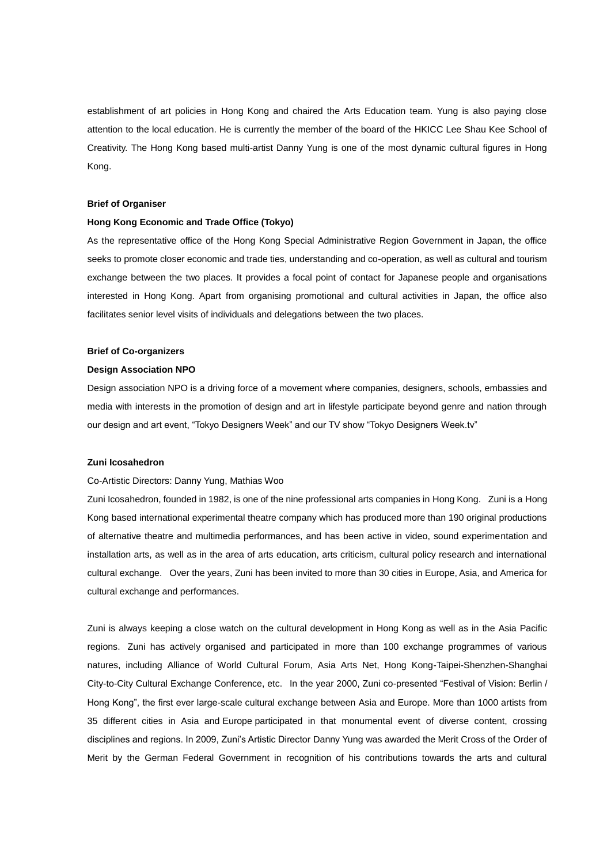establishment of art policies in Hong Kong and chaired the Arts Education team. Yung is also paying close attention to the local education. He is currently the member of the board of the HKICC Lee Shau Kee School of Creativity. The Hong Kong based multi-artist Danny Yung is one of the most dynamic cultural figures in Hong Kong.

## **Brief of Organiser**

## **Hong Kong Economic and Trade Office (Tokyo)**

As the representative office of the Hong Kong Special Administrative Region Government in Japan, the office seeks to promote closer economic and trade ties, understanding and co-operation, as well as cultural and tourism exchange between the two places. It provides a focal point of contact for Japanese people and organisations interested in Hong Kong. Apart from organising promotional and cultural activities in Japan, the office also facilitates senior level visits of individuals and delegations between the two places.

#### **Brief of Co-organizers**

## **Design Association NPO**

Design association NPO is a driving force of a movement where companies, designers, schools, embassies and media with interests in the promotion of design and art in lifestyle participate beyond genre and nation through our design and art event, "Tokyo Designers Week" and our TV show "Tokyo Designers Week.tv"

## **Zuni Icosahedron**

### Co-Artistic Directors: Danny Yung, Mathias Woo

Zuni Icosahedron, founded in 1982, is one of the nine professional arts companies in Hong Kong. Zuni is a Hong Kong based international experimental theatre company which has produced more than 190 original productions of alternative theatre and multimedia performances, and has been active in video, sound experimentation and installation arts, as well as in the area of arts education, arts criticism, cultural policy research and international cultural exchange. Over the years, Zuni has been invited to more than 30 cities in Europe, Asia, and America for cultural exchange and performances.

Zuni is always keeping a close watch on the cultural development in Hong Kong as well as in the Asia Pacific regions. Zuni has actively organised and participated in more than 100 exchange programmes of various natures, including Alliance of World Cultural Forum, Asia Arts Net, Hong Kong-Taipei-Shenzhen-Shanghai City-to-City Cultural Exchange Conference, etc. In the year 2000, Zuni co-presented "Festival of Vision: Berlin / Hong Kong", the first ever large-scale cultural exchange between Asia and Europe. More than 1000 artists from 35 different cities in Asia and Europe participated in that monumental event of diverse content, crossing disciplines and regions. In 2009, Zuni's Artistic Director Danny Yung was awarded the Merit Cross of the Order of Merit by the German Federal Government in recognition of his contributions towards the arts and cultural